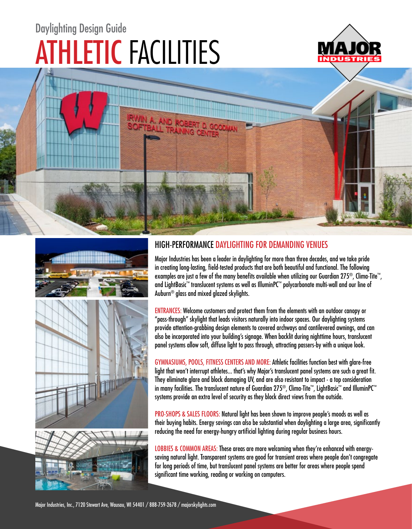# ATHLETIC FACILITIES Daylighting Design Guide







### HIGH-PERFORMANCE DAYLIGHTING FOR DEMANDING VENUES

Major Industries has been a leader in daylighting for more than three decades, and we take pride in creating long-lasting, field-tested products that are both beautiful and functional. The following examples are just a few of the many benefits available when utilizing our Guardian 275®, Clima-Tite™, and LightBasic™ translucent systems as well as IlluminPC™ polycarbonate multi-wall and our line of Auburn® glass and mixed glazed skylights.

ENTRANCES: Welcome customers and protect them from the elements with an outdoor canopy or "pass-through" skylight that leads visitors naturally into indoor spaces. Our daylighting systems provide attention-grabbing design elements to covered archways and cantilevered awnings, and can also be incorporated into your building's signage. When backlit during nighttime hours, translucent panel systems allow soft, diffuse light to pass through, attracting passers-by with a unique look.

GYMNASIUMS, POOLS, FITNESS CENTERS AND MORE: Athletic facilities function best with glare-free light that won't interrupt athletes... that's why Major's translucent panel systems are such a great fit. They eliminate glare and block damaging UV, and are also resistant to impact - a top consideration in many facilities. The translucent nature of Guardian 275®, Clima-Tite™, LightBasic™ and IlluminPC™ systems provide an extra level of security as they block direct views from the outside.

PRO-SHOPS & SALES FLOORS: Natural light has been shown to improve people's moods as well as their buying habits. Energy savings can also be substantial when daylighting a large area, significantly reducing the need for energy-hungry artificial lighting during regular business hours.

LOBBIES & COMMON AREAS: These areas are more welcoming when they're enhanced with energysaving natural light. Transparent systems are good for transient areas where people don't congregate for long periods of time, but translucent panel systems are better for areas where people spend significant time working, reading or working on computers.